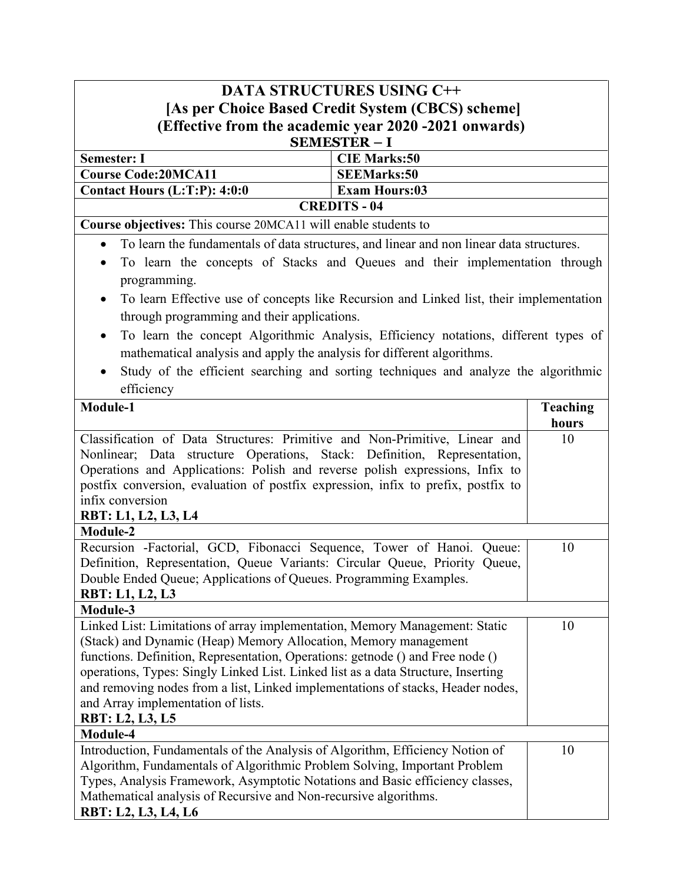| <b>DATA STRUCTURES USING C++</b>                                                                                                                                                                                                                                                                                                                                                                                                                                                |                                                       |                          |  |
|---------------------------------------------------------------------------------------------------------------------------------------------------------------------------------------------------------------------------------------------------------------------------------------------------------------------------------------------------------------------------------------------------------------------------------------------------------------------------------|-------------------------------------------------------|--------------------------|--|
| [As per Choice Based Credit System (CBCS) scheme]                                                                                                                                                                                                                                                                                                                                                                                                                               |                                                       |                          |  |
|                                                                                                                                                                                                                                                                                                                                                                                                                                                                                 | (Effective from the academic year 2020 -2021 onwards) |                          |  |
|                                                                                                                                                                                                                                                                                                                                                                                                                                                                                 | <b>SEMESTER - I</b>                                   |                          |  |
| <b>Semester: I</b>                                                                                                                                                                                                                                                                                                                                                                                                                                                              | <b>CIE Marks:50</b>                                   |                          |  |
| <b>Course Code:20MCA11</b>                                                                                                                                                                                                                                                                                                                                                                                                                                                      | <b>SEEMarks:50</b>                                    |                          |  |
| Contact Hours (L:T:P): 4:0:0                                                                                                                                                                                                                                                                                                                                                                                                                                                    | <b>Exam Hours:03</b>                                  |                          |  |
|                                                                                                                                                                                                                                                                                                                                                                                                                                                                                 | <b>CREDITS - 04</b>                                   |                          |  |
| Course objectives: This course 20MCA11 will enable students to                                                                                                                                                                                                                                                                                                                                                                                                                  |                                                       |                          |  |
| To learn the fundamentals of data structures, and linear and non linear data structures.<br>$\bullet$                                                                                                                                                                                                                                                                                                                                                                           |                                                       |                          |  |
| To learn the concepts of Stacks and Queues and their implementation through<br>$\bullet$                                                                                                                                                                                                                                                                                                                                                                                        |                                                       |                          |  |
| programming.                                                                                                                                                                                                                                                                                                                                                                                                                                                                    |                                                       |                          |  |
| To learn Effective use of concepts like Recursion and Linked list, their implementation                                                                                                                                                                                                                                                                                                                                                                                         |                                                       |                          |  |
| through programming and their applications.                                                                                                                                                                                                                                                                                                                                                                                                                                     |                                                       |                          |  |
| To learn the concept Algorithmic Analysis, Efficiency notations, different types of<br>$\bullet$<br>mathematical analysis and apply the analysis for different algorithms.                                                                                                                                                                                                                                                                                                      |                                                       |                          |  |
| Study of the efficient searching and sorting techniques and analyze the algorithmic<br>$\bullet$                                                                                                                                                                                                                                                                                                                                                                                |                                                       |                          |  |
| efficiency                                                                                                                                                                                                                                                                                                                                                                                                                                                                      |                                                       |                          |  |
| Module-1                                                                                                                                                                                                                                                                                                                                                                                                                                                                        |                                                       | <b>Teaching</b><br>hours |  |
| Classification of Data Structures: Primitive and Non-Primitive, Linear and<br>10<br>Nonlinear; Data structure Operations, Stack: Definition, Representation,<br>Operations and Applications: Polish and reverse polish expressions, Infix to<br>postfix conversion, evaluation of postfix expression, infix to prefix, postfix to<br>infix conversion                                                                                                                           |                                                       |                          |  |
| RBT: L1, L2, L3, L4                                                                                                                                                                                                                                                                                                                                                                                                                                                             |                                                       |                          |  |
| <b>Module-2</b>                                                                                                                                                                                                                                                                                                                                                                                                                                                                 |                                                       |                          |  |
| Recursion -Factorial, GCD, Fibonacci Sequence, Tower of Hanoi. Queue:<br>10<br>Definition, Representation, Queue Variants: Circular Queue, Priority Queue,<br>Double Ended Queue; Applications of Queues. Programming Examples.<br><b>RBT: L1, L2, L3</b>                                                                                                                                                                                                                       |                                                       |                          |  |
| Module-3                                                                                                                                                                                                                                                                                                                                                                                                                                                                        |                                                       |                          |  |
| Linked List: Limitations of array implementation, Memory Management: Static<br>10<br>(Stack) and Dynamic (Heap) Memory Allocation, Memory management<br>functions. Definition, Representation, Operations: get node () and Free node ()<br>operations, Types: Singly Linked List. Linked list as a data Structure, Inserting<br>and removing nodes from a list, Linked implementations of stacks, Header nodes,<br>and Array implementation of lists.<br><b>RBT: L2, L3, L5</b> |                                                       |                          |  |
| Module-4                                                                                                                                                                                                                                                                                                                                                                                                                                                                        |                                                       |                          |  |
| Introduction, Fundamentals of the Analysis of Algorithm, Efficiency Notion of<br>Algorithm, Fundamentals of Algorithmic Problem Solving, Important Problem<br>Types, Analysis Framework, Asymptotic Notations and Basic efficiency classes,<br>Mathematical analysis of Recursive and Non-recursive algorithms.<br>RBT: L2, L3, L4, L6                                                                                                                                          |                                                       | 10                       |  |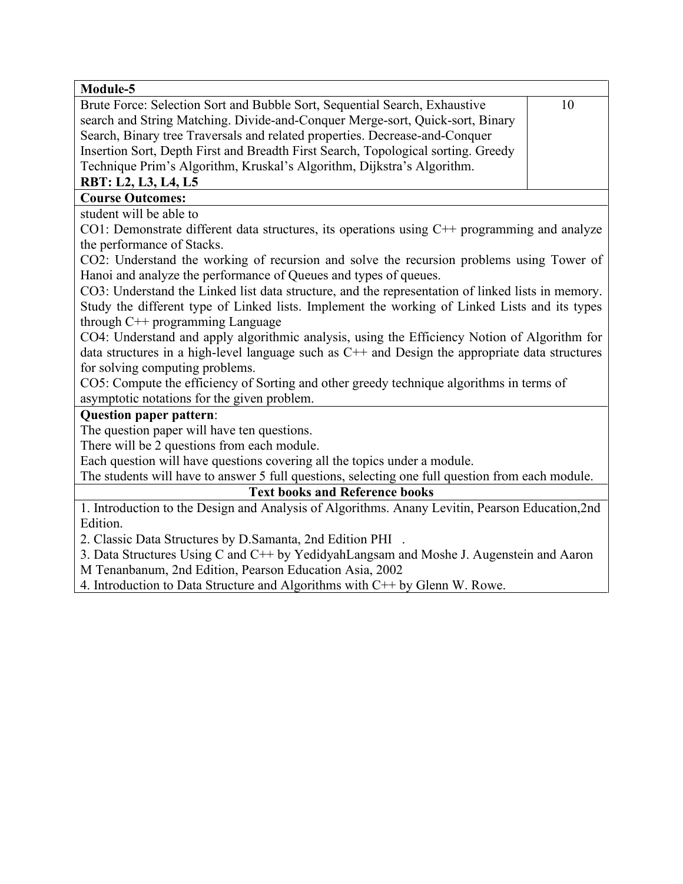| Module-5                                                                                          |    |  |
|---------------------------------------------------------------------------------------------------|----|--|
| Brute Force: Selection Sort and Bubble Sort, Sequential Search, Exhaustive                        | 10 |  |
| search and String Matching. Divide-and-Conquer Merge-sort, Quick-sort, Binary                     |    |  |
| Search, Binary tree Traversals and related properties. Decrease-and-Conquer                       |    |  |
| Insertion Sort, Depth First and Breadth First Search, Topological sorting. Greedy                 |    |  |
| Technique Prim's Algorithm, Kruskal's Algorithm, Dijkstra's Algorithm.                            |    |  |
| RBT: L2, L3, L4, L5                                                                               |    |  |
| <b>Course Outcomes:</b>                                                                           |    |  |
| student will be able to                                                                           |    |  |
| CO1: Demonstrate different data structures, its operations using $C++$ programming and analyze    |    |  |
| the performance of Stacks.                                                                        |    |  |
| CO2: Understand the working of recursion and solve the recursion problems using Tower of          |    |  |
| Hanoi and analyze the performance of Queues and types of queues.                                  |    |  |
| CO3: Understand the Linked list data structure, and the representation of linked lists in memory. |    |  |
| Study the different type of Linked lists. Implement the working of Linked Lists and its types     |    |  |
| through $C++$ programming Language                                                                |    |  |
| CO4: Understand and apply algorithmic analysis, using the Efficiency Notion of Algorithm for      |    |  |
| data structures in a high-level language such as $C++$ and Design the appropriate data structures |    |  |
| for solving computing problems.                                                                   |    |  |
| CO5: Compute the efficiency of Sorting and other greedy technique algorithms in terms of          |    |  |
| asymptotic notations for the given problem.                                                       |    |  |
| <b>Question paper pattern:</b>                                                                    |    |  |
| The question paper will have ten questions.                                                       |    |  |
| There will be 2 questions from each module.                                                       |    |  |
| Each question will have questions covering all the topics under a module.                         |    |  |
| The students will have to answer 5 full questions, selecting one full question from each module.  |    |  |
| <b>Text books and Reference books</b>                                                             |    |  |
| 1. Introduction to the Design and Analysis of Algorithms. Anany Levitin, Pearson Education, 2nd   |    |  |
| Edition.                                                                                          |    |  |
| 2. Classic Data Structures by D.Samanta, 2nd Edition PHI                                          |    |  |
| 3. Data Structures Using C and C++ by YedidyahLangsam and Moshe J. Augenstein and Aaron           |    |  |
| M Tenanbanum, 2nd Edition, Pearson Education Asia, 2002                                           |    |  |
| 4. Introduction to Data Structure and Algorithms with C++ by Glenn W. Rowe.                       |    |  |
|                                                                                                   |    |  |
|                                                                                                   |    |  |
|                                                                                                   |    |  |
|                                                                                                   |    |  |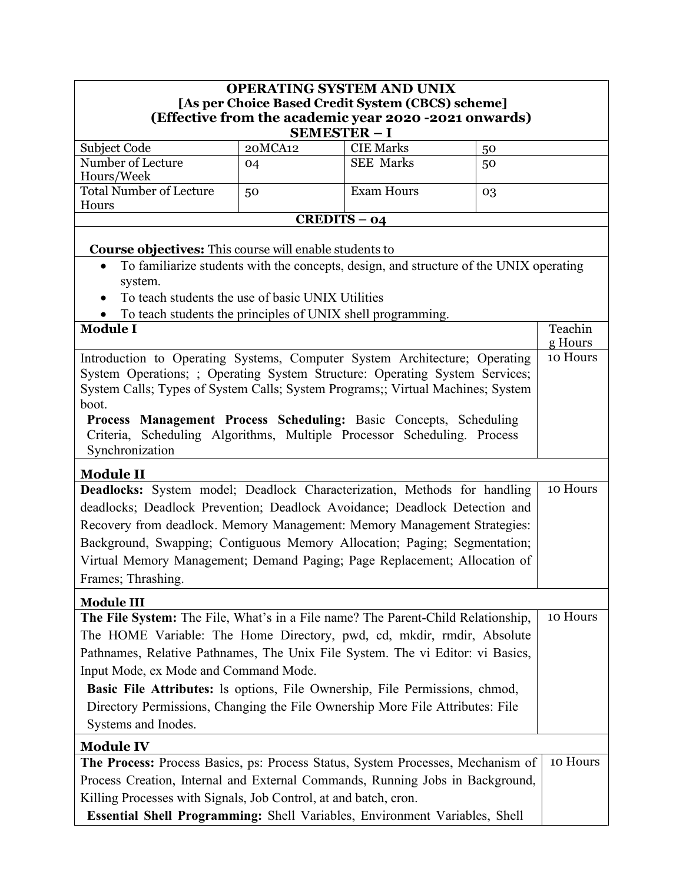| OPERATING SYSTEM AND UNIX                                                                                                                              |                                                       |                                                                                        |    |          |  |
|--------------------------------------------------------------------------------------------------------------------------------------------------------|-------------------------------------------------------|----------------------------------------------------------------------------------------|----|----------|--|
|                                                                                                                                                        |                                                       | [As per Choice Based Credit System (CBCS) scheme]                                      |    |          |  |
|                                                                                                                                                        | (Effective from the academic year 2020 -2021 onwards) |                                                                                        |    |          |  |
|                                                                                                                                                        | <b>SEMESTER - I</b>                                   |                                                                                        |    |          |  |
| Subject Code                                                                                                                                           | 20MCA12                                               | <b>CIE Marks</b>                                                                       | 50 |          |  |
| Number of Lecture<br>Hours/Week                                                                                                                        | 04                                                    | <b>SEE Marks</b>                                                                       | 50 |          |  |
| <b>Total Number of Lecture</b>                                                                                                                         | 50                                                    | <b>Exam Hours</b>                                                                      | 03 |          |  |
| Hours                                                                                                                                                  |                                                       |                                                                                        |    |          |  |
|                                                                                                                                                        | $CREDITS - 04$                                        |                                                                                        |    |          |  |
|                                                                                                                                                        |                                                       |                                                                                        |    |          |  |
| <b>Course objectives:</b> This course will enable students to                                                                                          |                                                       |                                                                                        |    |          |  |
|                                                                                                                                                        |                                                       | To familiarize students with the concepts, design, and structure of the UNIX operating |    |          |  |
| system.                                                                                                                                                |                                                       |                                                                                        |    |          |  |
| To teach students the use of basic UNIX Utilities                                                                                                      |                                                       |                                                                                        |    |          |  |
| To teach students the principles of UNIX shell programming.<br><b>Module I</b>                                                                         |                                                       |                                                                                        |    | Teachin  |  |
|                                                                                                                                                        |                                                       |                                                                                        |    | g Hours  |  |
| Introduction to Operating Systems, Computer System Architecture; Operating                                                                             |                                                       |                                                                                        |    | 10 Hours |  |
| System Operations; ; Operating System Structure: Operating System Services;                                                                            |                                                       |                                                                                        |    |          |  |
| System Calls; Types of System Calls; System Programs;; Virtual Machines; System                                                                        |                                                       |                                                                                        |    |          |  |
| boot.                                                                                                                                                  |                                                       |                                                                                        |    |          |  |
| Process Management Process Scheduling: Basic Concepts, Scheduling                                                                                      |                                                       |                                                                                        |    |          |  |
| Criteria, Scheduling Algorithms, Multiple Processor Scheduling. Process                                                                                |                                                       |                                                                                        |    |          |  |
| Synchronization                                                                                                                                        |                                                       |                                                                                        |    |          |  |
| <b>Module II</b>                                                                                                                                       |                                                       |                                                                                        |    |          |  |
| Deadlocks: System model; Deadlock Characterization, Methods for handling                                                                               |                                                       |                                                                                        |    | 10 Hours |  |
| deadlocks; Deadlock Prevention; Deadlock Avoidance; Deadlock Detection and                                                                             |                                                       |                                                                                        |    |          |  |
| Recovery from deadlock. Memory Management: Memory Management Strategies:                                                                               |                                                       |                                                                                        |    |          |  |
|                                                                                                                                                        |                                                       |                                                                                        |    |          |  |
| Background, Swapping; Contiguous Memory Allocation; Paging; Segmentation;<br>Virtual Memory Management; Demand Paging; Page Replacement; Allocation of |                                                       |                                                                                        |    |          |  |
| Frames; Thrashing.                                                                                                                                     |                                                       |                                                                                        |    |          |  |
|                                                                                                                                                        |                                                       |                                                                                        |    |          |  |
| <b>Module III</b>                                                                                                                                      |                                                       |                                                                                        |    |          |  |
| The File System: The File, What's in a File name? The Parent-Child Relationship,                                                                       |                                                       |                                                                                        |    | 10 Hours |  |
| The HOME Variable: The Home Directory, pwd, cd, mkdir, rmdir, Absolute                                                                                 |                                                       |                                                                                        |    |          |  |
| Pathnames, Relative Pathnames, The Unix File System. The vi Editor: vi Basics,                                                                         |                                                       |                                                                                        |    |          |  |
| Input Mode, ex Mode and Command Mode.                                                                                                                  |                                                       |                                                                                        |    |          |  |
| Basic File Attributes: Is options, File Ownership, File Permissions, chmod,                                                                            |                                                       |                                                                                        |    |          |  |
| Directory Permissions, Changing the File Ownership More File Attributes: File                                                                          |                                                       |                                                                                        |    |          |  |
| Systems and Inodes.                                                                                                                                    |                                                       |                                                                                        |    |          |  |
| <b>Module IV</b>                                                                                                                                       |                                                       |                                                                                        |    |          |  |
| The Process: Process Basics, ps: Process Status, System Processes, Mechanism of                                                                        |                                                       |                                                                                        |    | 10 Hours |  |
| Process Creation, Internal and External Commands, Running Jobs in Background,                                                                          |                                                       |                                                                                        |    |          |  |
| Killing Processes with Signals, Job Control, at and batch, cron.                                                                                       |                                                       |                                                                                        |    |          |  |
| Essential Shell Programming: Shell Variables, Environment Variables, Shell                                                                             |                                                       |                                                                                        |    |          |  |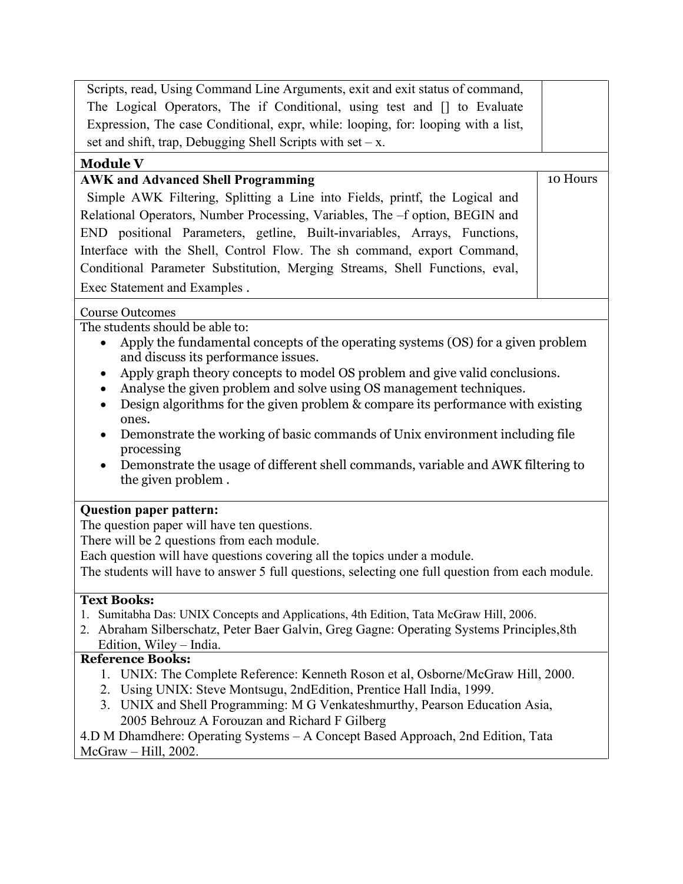| Scripts, read, Using Command Line Arguments, exit and exit status of command,                                                        |          |
|--------------------------------------------------------------------------------------------------------------------------------------|----------|
| The Logical Operators, The if Conditional, using test and [] to Evaluate                                                             |          |
| Expression, The case Conditional, expr, while: looping, for: looping with a list,                                                    |          |
| set and shift, trap, Debugging Shell Scripts with set $-x$ .                                                                         |          |
| <b>Module V</b>                                                                                                                      |          |
| <b>AWK and Advanced Shell Programming</b>                                                                                            | 10 Hours |
| Simple AWK Filtering, Splitting a Line into Fields, printf, the Logical and                                                          |          |
| Relational Operators, Number Processing, Variables, The -f option, BEGIN and                                                         |          |
| END positional Parameters, getline, Built-invariables, Arrays, Functions,                                                            |          |
| Interface with the Shell, Control Flow. The sh command, export Command,                                                              |          |
| Conditional Parameter Substitution, Merging Streams, Shell Functions, eval,                                                          |          |
| Exec Statement and Examples.                                                                                                         |          |
|                                                                                                                                      |          |
| <b>Course Outcomes</b>                                                                                                               |          |
| The students should be able to:                                                                                                      |          |
| Apply the fundamental concepts of the operating systems (OS) for a given problem<br>$\bullet$<br>and discuss its performance issues. |          |
| Apply graph theory concepts to model OS problem and give valid conclusions.<br>$\bullet$                                             |          |
| Analyse the given problem and solve using OS management techniques.<br>$\bullet$                                                     |          |
| Design algorithms for the given problem & compare its performance with existing                                                      |          |
| ones.                                                                                                                                |          |
| Demonstrate the working of basic commands of Unix environment including file<br>$\bullet$                                            |          |
| processing                                                                                                                           |          |
| Demonstrate the usage of different shell commands, variable and AWK filtering to                                                     |          |
| the given problem.                                                                                                                   |          |
| <b>Question paper pattern:</b>                                                                                                       |          |
| The question paper will have ten questions.                                                                                          |          |
| There will be 2 questions from each module.                                                                                          |          |
| Each question will have questions covering all the topics under a module.                                                            |          |
| The students will have to answer 5 full questions, selecting one full question from each module.                                     |          |
| <b>Text Books:</b>                                                                                                                   |          |
|                                                                                                                                      |          |

- 1. Sumitabha Das: UNIX Concepts and Applications, 4th Edition, Tata McGraw Hill, 2006.
- 2. Abraham Silberschatz, Peter Baer Galvin, Greg Gagne: Operating Systems Principles,8th Edition, Wiley – India.

### **Reference Books:**

- 1. UNIX: The Complete Reference: Kenneth Roson et al, Osborne/McGraw Hill, 2000.
- 2. Using UNIX: Steve Montsugu, 2ndEdition, Prentice Hall India, 1999.
- 3. UNIX and Shell Programming: M G Venkateshmurthy, Pearson Education Asia, 2005 Behrouz A Forouzan and Richard F Gilberg

4.D M Dhamdhere: Operating Systems – A Concept Based Approach, 2nd Edition, Tata McGraw – Hill, 2002.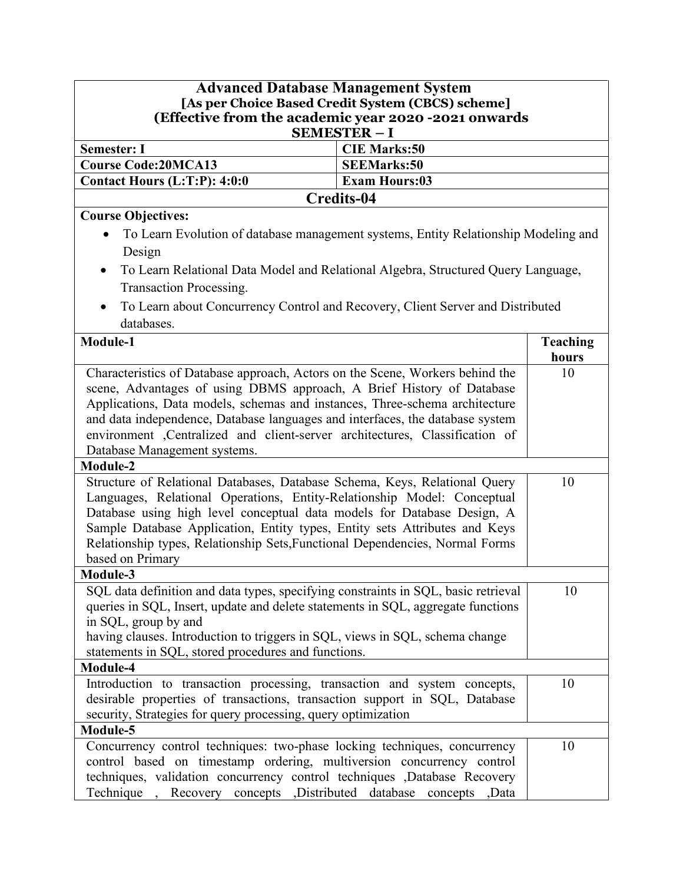# **Advanced Database Management System [As per Choice Based Credit System (CBCS) scheme] (Effective from the academic year 2020 -2021 onwards**

| <b>SEMESTER-I</b>              |                      |  |
|--------------------------------|----------------------|--|
| <b>Semester: I</b>             | <b>CIE Marks:50</b>  |  |
| Course Code:20MCA13            | <b>SEEMarks:50</b>   |  |
| Contact Hours $(L:T:P): 4:0:0$ | <b>Exam Hours:03</b> |  |
| Credits-04                     |                      |  |

## **Course Objectives:**

- To Learn Evolution of database management systems, Entity Relationship Modeling and Design
- To Learn Relational Data Model and Relational Algebra, Structured Query Language, Transaction Processing.
- To Learn about Concurrency Control and Recovery, Client Server and Distributed databases.

| Module-1                                                                                                                                                                                                                                                                                                                                                                                                           | <b>Teaching</b> |
|--------------------------------------------------------------------------------------------------------------------------------------------------------------------------------------------------------------------------------------------------------------------------------------------------------------------------------------------------------------------------------------------------------------------|-----------------|
|                                                                                                                                                                                                                                                                                                                                                                                                                    | hours           |
| Characteristics of Database approach, Actors on the Scene, Workers behind the<br>scene, Advantages of using DBMS approach, A Brief History of Database<br>Applications, Data models, schemas and instances, Three-schema architecture<br>and data independence, Database languages and interfaces, the database system                                                                                             | 10              |
| environment ,Centralized and client-server architectures, Classification of                                                                                                                                                                                                                                                                                                                                        |                 |
| Database Management systems.                                                                                                                                                                                                                                                                                                                                                                                       |                 |
| Module-2                                                                                                                                                                                                                                                                                                                                                                                                           |                 |
| Structure of Relational Databases, Database Schema, Keys, Relational Query<br>Languages, Relational Operations, Entity-Relationship Model: Conceptual<br>Database using high level conceptual data models for Database Design, A<br>Sample Database Application, Entity types, Entity sets Attributes and Keys<br>Relationship types, Relationship Sets, Functional Dependencies, Normal Forms<br>based on Primary | 10              |
| Module-3                                                                                                                                                                                                                                                                                                                                                                                                           |                 |
| SQL data definition and data types, specifying constraints in SQL, basic retrieval<br>queries in SQL, Insert, update and delete statements in SQL, aggregate functions<br>in SQL, group by and<br>having clauses. Introduction to triggers in SQL, views in SQL, schema change<br>statements in SQL, stored procedures and functions.                                                                              | 10              |
| Module-4                                                                                                                                                                                                                                                                                                                                                                                                           |                 |
| Introduction to transaction processing, transaction and system concepts,<br>desirable properties of transactions, transaction support in SQL, Database<br>security, Strategies for query processing, query optimization                                                                                                                                                                                            | 10              |
| Module-5                                                                                                                                                                                                                                                                                                                                                                                                           |                 |
| Concurrency control techniques: two-phase locking techniques, concurrency<br>control based on timestamp ordering, multiversion concurrency control<br>techniques, validation concurrency control techniques ,Database Recovery<br>Technique, Recovery concepts , Distributed database concepts , Data                                                                                                              | 10              |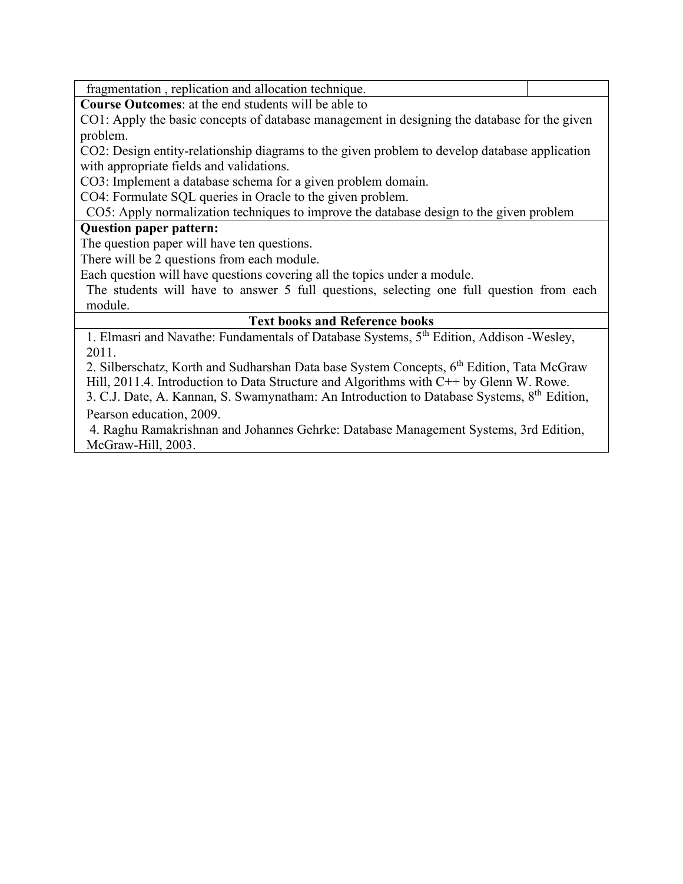fragmentation , replication and allocation technique.

**Course Outcomes**: at the end students will be able to

CO1: Apply the basic concepts of database management in designing the database for the given problem.

CO2: Design entity-relationship diagrams to the given problem to develop database application with appropriate fields and validations.

CO3: Implement a database schema for a given problem domain.

CO4: Formulate SQL queries in Oracle to the given problem.

CO5: Apply normalization techniques to improve the database design to the given problem

#### **Question paper pattern:**

The question paper will have ten questions.

There will be 2 questions from each module.

Each question will have questions covering all the topics under a module.

The students will have to answer 5 full questions, selecting one full question from each module.

#### **Text books and Reference books**

1. Elmasri and Navathe: Fundamentals of Database Systems, 5th Edition, Addison -Wesley, 2011.

2. Silberschatz, Korth and Sudharshan Data base System Concepts, 6<sup>th</sup> Edition, Tata McGraw Hill, 2011.4. Introduction to Data Structure and Algorithms with C++ by Glenn W. Rowe.

3. C.J. Date, A. Kannan, S. Swamynatham: An Introduction to Database Systems, 8th Edition, Pearson education, 2009.

4. Raghu Ramakrishnan and Johannes Gehrke: Database Management Systems, 3rd Edition, McGraw-Hill, 2003.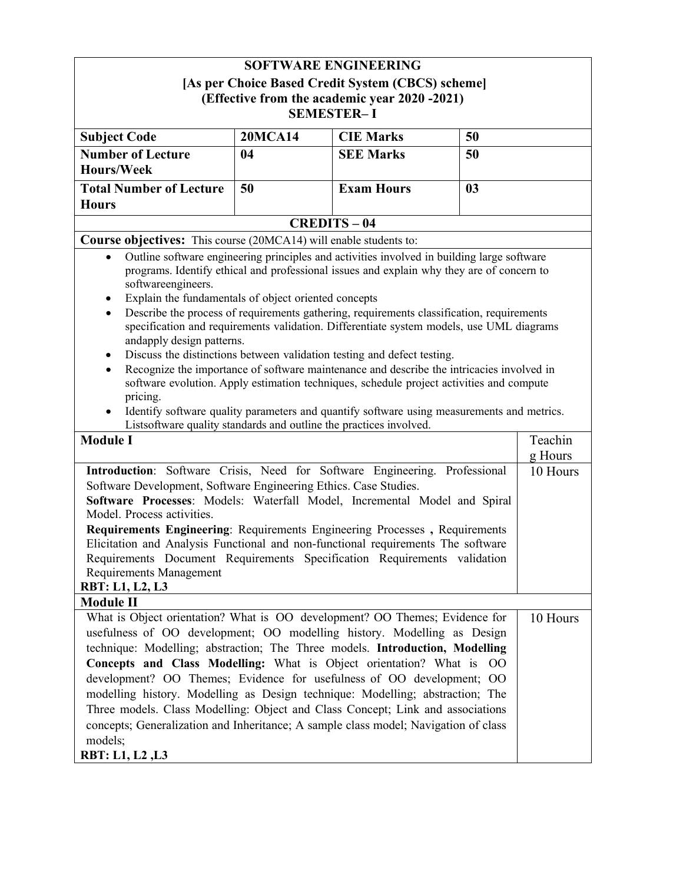| <b>SOFTWARE ENGINEERING</b>                                                                                                                                                                                                                                                                                                                                                                                                                                                                                                                                                                                                                                                                                                                                                                                                                                                                                                                                                                                               |    |                   |    |          |
|---------------------------------------------------------------------------------------------------------------------------------------------------------------------------------------------------------------------------------------------------------------------------------------------------------------------------------------------------------------------------------------------------------------------------------------------------------------------------------------------------------------------------------------------------------------------------------------------------------------------------------------------------------------------------------------------------------------------------------------------------------------------------------------------------------------------------------------------------------------------------------------------------------------------------------------------------------------------------------------------------------------------------|----|-------------------|----|----------|
| [As per Choice Based Credit System (CBCS) scheme]<br>(Effective from the academic year 2020 -2021)<br><b>SEMESTER-I</b>                                                                                                                                                                                                                                                                                                                                                                                                                                                                                                                                                                                                                                                                                                                                                                                                                                                                                                   |    |                   |    |          |
|                                                                                                                                                                                                                                                                                                                                                                                                                                                                                                                                                                                                                                                                                                                                                                                                                                                                                                                                                                                                                           |    |                   |    |          |
| <b>Number of Lecture</b><br><b>Hours/Week</b>                                                                                                                                                                                                                                                                                                                                                                                                                                                                                                                                                                                                                                                                                                                                                                                                                                                                                                                                                                             | 04 | <b>SEE Marks</b>  | 50 |          |
| <b>Total Number of Lecture</b><br><b>Hours</b>                                                                                                                                                                                                                                                                                                                                                                                                                                                                                                                                                                                                                                                                                                                                                                                                                                                                                                                                                                            | 50 | <b>Exam Hours</b> | 03 |          |
|                                                                                                                                                                                                                                                                                                                                                                                                                                                                                                                                                                                                                                                                                                                                                                                                                                                                                                                                                                                                                           |    | <b>CREDITS-04</b> |    |          |
| Course objectives: This course (20MCA14) will enable students to:                                                                                                                                                                                                                                                                                                                                                                                                                                                                                                                                                                                                                                                                                                                                                                                                                                                                                                                                                         |    |                   |    |          |
| Outline software engineering principles and activities involved in building large software<br>$\bullet$<br>programs. Identify ethical and professional issues and explain why they are of concern to<br>softwareengineers.<br>Explain the fundamentals of object oriented concepts<br>$\bullet$<br>Describe the process of requirements gathering, requirements classification, requirements<br>$\bullet$<br>specification and requirements validation. Differentiate system models, use UML diagrams<br>andapply design patterns.<br>Discuss the distinctions between validation testing and defect testing.<br>٠<br>Recognize the importance of software maintenance and describe the intricacies involved in<br>software evolution. Apply estimation techniques, schedule project activities and compute<br>pricing.<br>Identify software quality parameters and quantify software using measurements and metrics.<br>Listsoftware quality standards and outline the practices involved.<br>Teachin<br><b>Module I</b> |    |                   |    |          |
|                                                                                                                                                                                                                                                                                                                                                                                                                                                                                                                                                                                                                                                                                                                                                                                                                                                                                                                                                                                                                           |    |                   |    | g Hours  |
| Introduction: Software Crisis, Need for Software Engineering. Professional<br>10 Hours<br>Software Development, Software Engineering Ethics. Case Studies.<br>Software Processes: Models: Waterfall Model, Incremental Model and Spiral<br>Model. Process activities.<br>Requirements Engineering: Requirements Engineering Processes, Requirements<br>Elicitation and Analysis Functional and non-functional requirements The software<br>Requirements Document Requirements Specification Requirements validation<br>Requirements Management<br><b>RBT: L1, L2, L3</b>                                                                                                                                                                                                                                                                                                                                                                                                                                                  |    |                   |    |          |
| <b>Module II</b>                                                                                                                                                                                                                                                                                                                                                                                                                                                                                                                                                                                                                                                                                                                                                                                                                                                                                                                                                                                                          |    |                   |    |          |
| What is Object orientation? What is OO development? OO Themes; Evidence for<br>usefulness of OO development; OO modelling history. Modelling as Design<br>technique: Modelling; abstraction; The Three models. Introduction, Modelling<br>Concepts and Class Modelling: What is Object orientation? What is OO<br>development? OO Themes; Evidence for usefulness of OO development; OO<br>modelling history. Modelling as Design technique: Modelling; abstraction; The<br>Three models. Class Modelling: Object and Class Concept; Link and associations<br>concepts; Generalization and Inheritance; A sample class model; Navigation of class<br>models;<br>RBT: L1, L2, L3                                                                                                                                                                                                                                                                                                                                           |    |                   |    | 10 Hours |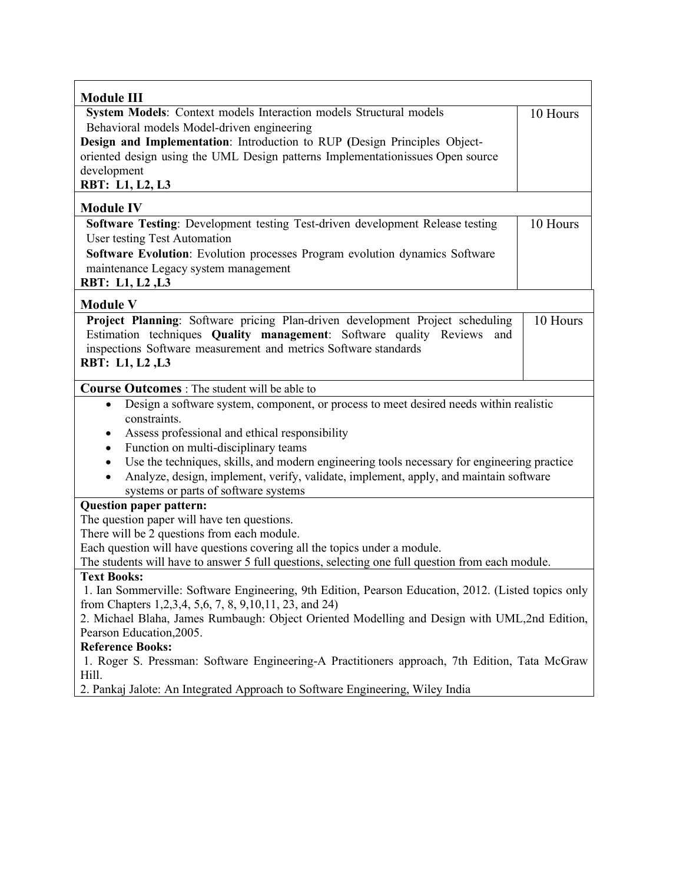| <b>Module III</b>                                                                                                                                                                                                                                |          |  |
|--------------------------------------------------------------------------------------------------------------------------------------------------------------------------------------------------------------------------------------------------|----------|--|
| System Models: Context models Interaction models Structural models                                                                                                                                                                               | 10 Hours |  |
| Behavioral models Model-driven engineering                                                                                                                                                                                                       |          |  |
| Design and Implementation: Introduction to RUP (Design Principles Object-<br>oriented design using the UML Design patterns Implementationissues Open source                                                                                      |          |  |
| development                                                                                                                                                                                                                                      |          |  |
| RBT: L1, L2, L3                                                                                                                                                                                                                                  |          |  |
| <b>Module IV</b>                                                                                                                                                                                                                                 |          |  |
| Software Testing: Development testing Test-driven development Release testing<br>User testing Test Automation                                                                                                                                    | 10 Hours |  |
| Software Evolution: Evolution processes Program evolution dynamics Software                                                                                                                                                                      |          |  |
| maintenance Legacy system management                                                                                                                                                                                                             |          |  |
| RBT: L1, L2, L3                                                                                                                                                                                                                                  |          |  |
| <b>Module V</b>                                                                                                                                                                                                                                  |          |  |
| Project Planning: Software pricing Plan-driven development Project scheduling<br>Estimation techniques Quality management: Software quality Reviews<br>and<br>inspections Software measurement and metrics Software standards<br>RBT: L1, L2, L3 | 10 Hours |  |
| <b>Course Outcomes</b> : The student will be able to                                                                                                                                                                                             |          |  |
| Design a software system, component, or process to meet desired needs within realistic<br>$\bullet$                                                                                                                                              |          |  |
| constraints.                                                                                                                                                                                                                                     |          |  |
| Assess professional and ethical responsibility<br>Function on multi-disciplinary teams                                                                                                                                                           |          |  |
| $\bullet$<br>Use the techniques, skills, and modern engineering tools necessary for engineering practice<br>$\bullet$                                                                                                                            |          |  |
| Analyze, design, implement, verify, validate, implement, apply, and maintain software                                                                                                                                                            |          |  |
| systems or parts of software systems                                                                                                                                                                                                             |          |  |
| <b>Question paper pattern:</b>                                                                                                                                                                                                                   |          |  |
| The question paper will have ten questions.                                                                                                                                                                                                      |          |  |
| There will be 2 questions from each module.                                                                                                                                                                                                      |          |  |
| Each question will have questions covering all the topics under a module.<br>The students will have to answer 5 full questions, selecting one full question from each module.                                                                    |          |  |
| <b>Text Books:</b>                                                                                                                                                                                                                               |          |  |
| 1. Ian Sommerville: Software Engineering, 9th Edition, Pearson Education, 2012. (Listed topics only                                                                                                                                              |          |  |
| from Chapters 1,2,3,4, 5,6, 7, 8, 9, 10, 11, 23, and 24)                                                                                                                                                                                         |          |  |
| 2. Michael Blaha, James Rumbaugh: Object Oriented Modelling and Design with UML,2nd Edition,                                                                                                                                                     |          |  |
| Pearson Education, 2005.                                                                                                                                                                                                                         |          |  |
| <b>Reference Books:</b>                                                                                                                                                                                                                          |          |  |
| 1. Roger S. Pressman: Software Engineering-A Practitioners approach, 7th Edition, Tata McGraw<br>Hill.                                                                                                                                           |          |  |
| 2. Pankaj Jalote: An Integrated Approach to Software Engineering, Wiley India                                                                                                                                                                    |          |  |
|                                                                                                                                                                                                                                                  |          |  |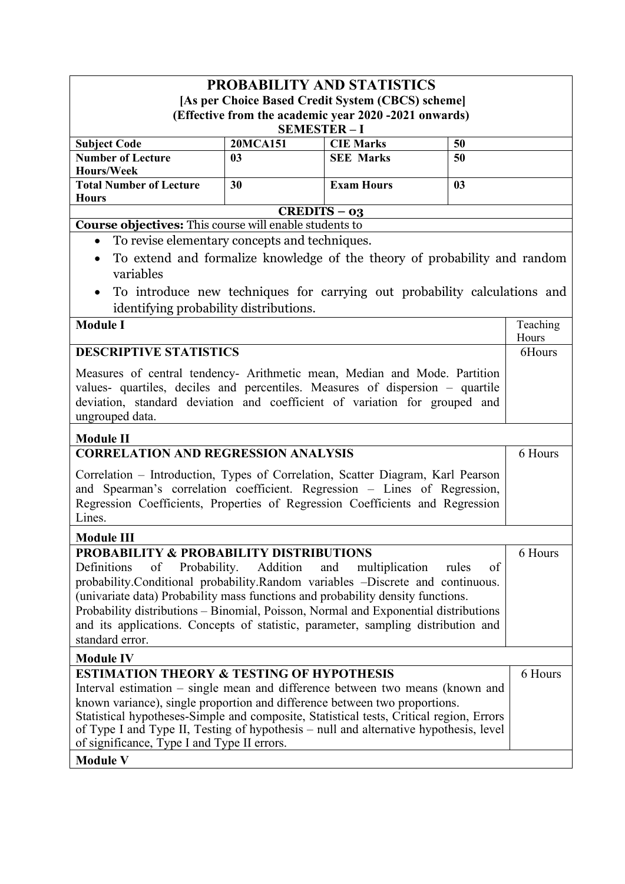| <b>PROBABILITY AND STATISTICS</b>                                                                                                                                                                                                                                                                                                                                                                                                                                         |                                                       |                                                                           |                |          |
|---------------------------------------------------------------------------------------------------------------------------------------------------------------------------------------------------------------------------------------------------------------------------------------------------------------------------------------------------------------------------------------------------------------------------------------------------------------------------|-------------------------------------------------------|---------------------------------------------------------------------------|----------------|----------|
| [As per Choice Based Credit System (CBCS) scheme]                                                                                                                                                                                                                                                                                                                                                                                                                         |                                                       |                                                                           |                |          |
| (Effective from the academic year 2020 -2021 onwards)                                                                                                                                                                                                                                                                                                                                                                                                                     |                                                       |                                                                           |                |          |
|                                                                                                                                                                                                                                                                                                                                                                                                                                                                           | <b>SEMESTER-I</b><br><b>20MCA151</b>                  | <b>CIE Marks</b>                                                          | 50             |          |
| <b>Subject Code</b><br><b>Number of Lecture</b>                                                                                                                                                                                                                                                                                                                                                                                                                           | 0 <sub>3</sub>                                        | <b>SEE Marks</b>                                                          | 50             |          |
| Hours/Week                                                                                                                                                                                                                                                                                                                                                                                                                                                                |                                                       |                                                                           |                |          |
| <b>Total Number of Lecture</b>                                                                                                                                                                                                                                                                                                                                                                                                                                            | 30                                                    | <b>Exam Hours</b>                                                         | 0 <sub>3</sub> |          |
| <b>Hours</b>                                                                                                                                                                                                                                                                                                                                                                                                                                                              |                                                       |                                                                           |                |          |
| <b>Course objectives:</b> This course will enable students to                                                                                                                                                                                                                                                                                                                                                                                                             | $CREDITS - 03$                                        |                                                                           |                |          |
| To revise elementary concepts and techniques.<br>$\bullet$                                                                                                                                                                                                                                                                                                                                                                                                                |                                                       |                                                                           |                |          |
|                                                                                                                                                                                                                                                                                                                                                                                                                                                                           |                                                       |                                                                           |                |          |
| variables                                                                                                                                                                                                                                                                                                                                                                                                                                                                 |                                                       | To extend and formalize knowledge of the theory of probability and random |                |          |
|                                                                                                                                                                                                                                                                                                                                                                                                                                                                           |                                                       | To introduce new techniques for carrying out probability calculations and |                |          |
| identifying probability distributions.                                                                                                                                                                                                                                                                                                                                                                                                                                    |                                                       |                                                                           |                |          |
| <b>Module I</b>                                                                                                                                                                                                                                                                                                                                                                                                                                                           |                                                       |                                                                           |                | Teaching |
|                                                                                                                                                                                                                                                                                                                                                                                                                                                                           |                                                       |                                                                           |                | Hours    |
| <b>DESCRIPTIVE STATISTICS</b>                                                                                                                                                                                                                                                                                                                                                                                                                                             |                                                       |                                                                           |                | 6Hours   |
| Measures of central tendency- Arithmetic mean, Median and Mode. Partition<br>values- quartiles, deciles and percentiles. Measures of dispersion – quartile<br>deviation, standard deviation and coefficient of variation for grouped and<br>ungrouped data.                                                                                                                                                                                                               |                                                       |                                                                           |                |          |
| <b>Module II</b>                                                                                                                                                                                                                                                                                                                                                                                                                                                          |                                                       |                                                                           |                |          |
|                                                                                                                                                                                                                                                                                                                                                                                                                                                                           | <b>CORRELATION AND REGRESSION ANALYSIS</b><br>6 Hours |                                                                           |                |          |
| Correlation - Introduction, Types of Correlation, Scatter Diagram, Karl Pearson<br>and Spearman's correlation coefficient. Regression - Lines of Regression,<br>Regression Coefficients, Properties of Regression Coefficients and Regression<br>Lines.                                                                                                                                                                                                                   |                                                       |                                                                           |                |          |
| <b>Module III</b>                                                                                                                                                                                                                                                                                                                                                                                                                                                         |                                                       |                                                                           |                |          |
| <b>PROBABILITY &amp; PROBABILITY DISTRIBUTIONS</b>                                                                                                                                                                                                                                                                                                                                                                                                                        |                                                       |                                                                           |                | 6 Hours  |
| Definitions<br>Probability.<br>Addition<br>of<br>and<br>multiplication<br>rules<br>of<br>probability.Conditional probability.Random variables -Discrete and continuous.<br>(univariate data) Probability mass functions and probability density functions.<br>Probability distributions - Binomial, Poisson, Normal and Exponential distributions<br>and its applications. Concepts of statistic, parameter, sampling distribution and<br>standard error.                 |                                                       |                                                                           |                |          |
| <b>Module IV</b>                                                                                                                                                                                                                                                                                                                                                                                                                                                          |                                                       |                                                                           |                |          |
| <b>ESTIMATION THEORY &amp; TESTING OF HYPOTHESIS</b><br>Interval estimation – single mean and difference between two means (known and<br>known variance), single proportion and difference between two proportions.<br>Statistical hypotheses-Simple and composite, Statistical tests, Critical region, Errors<br>of Type I and Type II, Testing of hypothesis - null and alternative hypothesis, level<br>of significance, Type I and Type II errors.<br><b>Module V</b> |                                                       |                                                                           |                | 6 Hours  |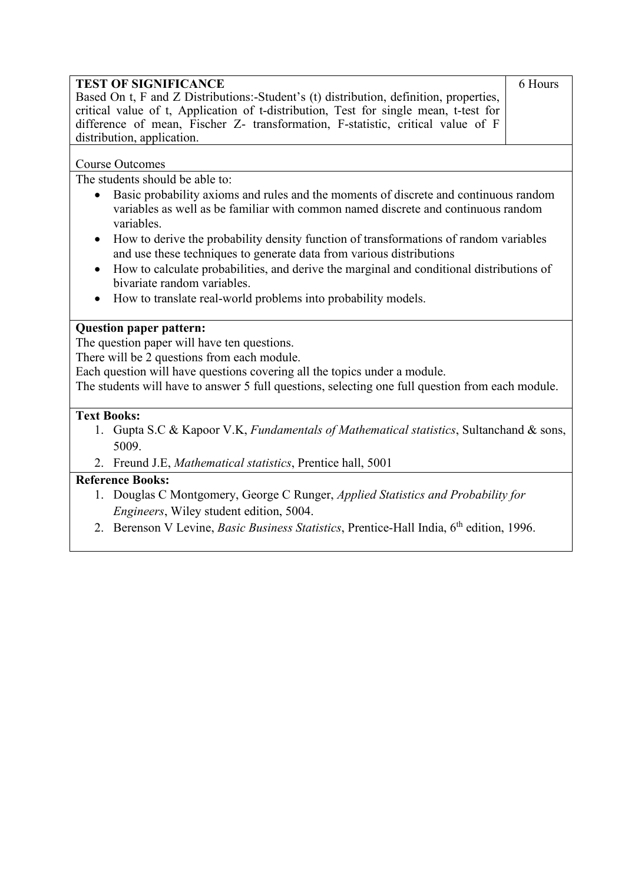| <b>TEST OF SIGNIFICANCE</b>                                                                                  | 6 Hours |  |
|--------------------------------------------------------------------------------------------------------------|---------|--|
| Based On t, F and Z Distributions:-Student's (t) distribution, definition, properties,                       |         |  |
| critical value of t, Application of t-distribution, Test for single mean, t-test for                         |         |  |
| difference of mean, Fischer Z- transformation, F-statistic, critical value of F                              |         |  |
| distribution, application.                                                                                   |         |  |
| <b>Course Outcomes</b>                                                                                       |         |  |
| The students should be able to:                                                                              |         |  |
| Basic probability axioms and rules and the moments of discrete and continuous random<br>$\bullet$            |         |  |
| variables as well as be familiar with common named discrete and continuous random<br>variables.              |         |  |
| How to derive the probability density function of transformations of random variables                        |         |  |
| and use these techniques to generate data from various distributions                                         |         |  |
| How to calculate probabilities, and derive the marginal and conditional distributions of<br>$\bullet$        |         |  |
| bivariate random variables.                                                                                  |         |  |
| How to translate real-world problems into probability models.                                                |         |  |
| <b>Question paper pattern:</b>                                                                               |         |  |
| The question paper will have ten questions.                                                                  |         |  |
| There will be 2 questions from each module.                                                                  |         |  |
| Each question will have questions covering all the topics under a module.                                    |         |  |
| The students will have to answer 5 full questions, selecting one full question from each module.             |         |  |
|                                                                                                              |         |  |
| <b>Text Books:</b>                                                                                           |         |  |
| 1. Gupta S.C & Kapoor V.K, Fundamentals of Mathematical statistics, Sultanchand & sons,<br>5009.             |         |  |
| 2. Freund J.E, Mathematical statistics, Prentice hall, 5001                                                  |         |  |
| <b>Reference Books:</b>                                                                                      |         |  |
| 1. Douglas C Montgomery, George C Runger, <i>Applied Statistics and Probability for</i>                      |         |  |
| Engineers, Wiley student edition, 5004.                                                                      |         |  |
| 2. Berenson V Levine, <i>Basic Business Statistics</i> , Prentice-Hall India, 6 <sup>th</sup> edition, 1996. |         |  |
|                                                                                                              |         |  |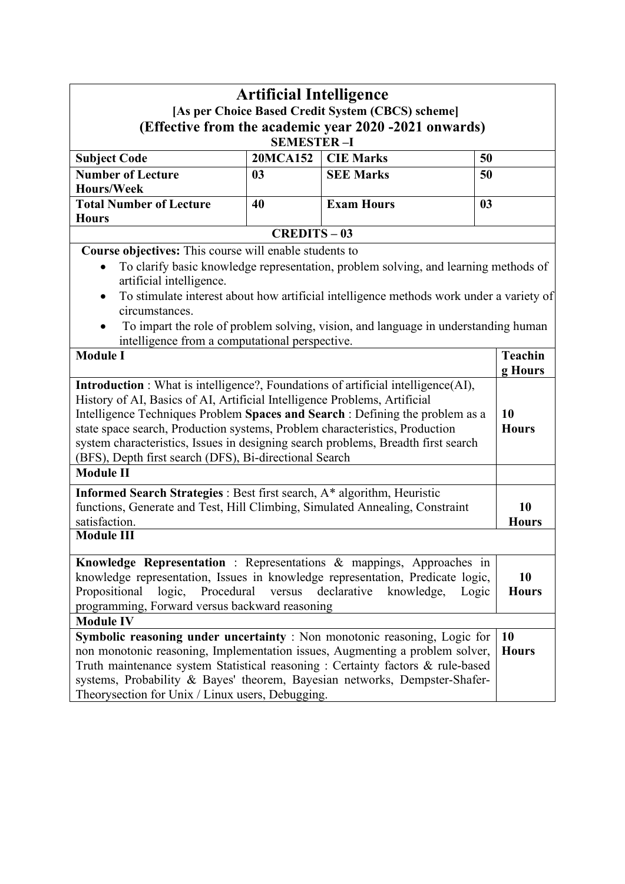| <b>Artificial Intelligence</b><br>[As per Choice Based Credit System (CBCS) scheme]<br>(Effective from the academic year 2020 -2021 onwards)<br><b>SEMESTER-I</b>                                                                                                                                                                                                                                  |                   |                                                                                                                                                                                                                                                                      |                                 |  |
|----------------------------------------------------------------------------------------------------------------------------------------------------------------------------------------------------------------------------------------------------------------------------------------------------------------------------------------------------------------------------------------------------|-------------------|----------------------------------------------------------------------------------------------------------------------------------------------------------------------------------------------------------------------------------------------------------------------|---------------------------------|--|
| <b>Subject Code</b>                                                                                                                                                                                                                                                                                                                                                                                | <b>20MCA152</b>   | <b>CIE Marks</b>                                                                                                                                                                                                                                                     | 50                              |  |
| <b>Number of Lecture</b>                                                                                                                                                                                                                                                                                                                                                                           | 0 <sub>3</sub>    | <b>SEE Marks</b>                                                                                                                                                                                                                                                     | 50                              |  |
| Hours/Week                                                                                                                                                                                                                                                                                                                                                                                         |                   |                                                                                                                                                                                                                                                                      |                                 |  |
| <b>Total Number of Lecture</b>                                                                                                                                                                                                                                                                                                                                                                     | 40                | <b>Exam Hours</b>                                                                                                                                                                                                                                                    | 0 <sub>3</sub>                  |  |
| <b>Hours</b>                                                                                                                                                                                                                                                                                                                                                                                       |                   |                                                                                                                                                                                                                                                                      |                                 |  |
|                                                                                                                                                                                                                                                                                                                                                                                                    | <b>CREDITS-03</b> |                                                                                                                                                                                                                                                                      |                                 |  |
| Course objectives: This course will enable students to<br>artificial intelligence.<br>$\bullet$<br>circumstances.<br>intelligence from a computational perspective.<br><b>Module I</b><br>Introduction : What is intelligence?, Foundations of artificial intelligence(AI),<br>History of AI, Basics of AI, Artificial Intelligence Problems, Artificial                                           |                   | To clarify basic knowledge representation, problem solving, and learning methods of<br>To stimulate interest about how artificial intelligence methods work under a variety of<br>To impart the role of problem solving, vision, and language in understanding human | <b>Teachin</b><br>g Hours<br>10 |  |
| Intelligence Techniques Problem Spaces and Search : Defining the problem as a<br>state space search, Production systems, Problem characteristics, Production<br>system characteristics, Issues in designing search problems, Breadth first search<br>(BFS), Depth first search (DFS), Bi-directional Search<br><b>Module II</b>                                                                    |                   |                                                                                                                                                                                                                                                                      | <b>Hours</b>                    |  |
| Informed Search Strategies : Best first search, A* algorithm, Heuristic<br>functions, Generate and Test, Hill Climbing, Simulated Annealing, Constraint<br>satisfaction.<br><b>Module III</b>                                                                                                                                                                                                      |                   |                                                                                                                                                                                                                                                                      | 10<br><b>Hours</b>              |  |
| Knowledge Representation : Representations & mappings, Approaches in<br>knowledge representation, Issues in knowledge representation, Predicate logic,<br>Propositional<br>logic,<br>Procedural<br>programming, Forward versus backward reasoning                                                                                                                                                  | versus            | declarative<br>knowledge,<br>Logic                                                                                                                                                                                                                                   | 10<br><b>Hours</b>              |  |
| <b>Module IV</b><br>Symbolic reasoning under uncertainty : Non monotonic reasoning, Logic for<br>non monotonic reasoning, Implementation issues, Augmenting a problem solver,<br>Truth maintenance system Statistical reasoning : Certainty factors & rule-based<br>systems, Probability & Bayes' theorem, Bayesian networks, Dempster-Shafer-<br>Theorysection for Unix / Linux users, Debugging. |                   |                                                                                                                                                                                                                                                                      | <b>10</b><br><b>Hours</b>       |  |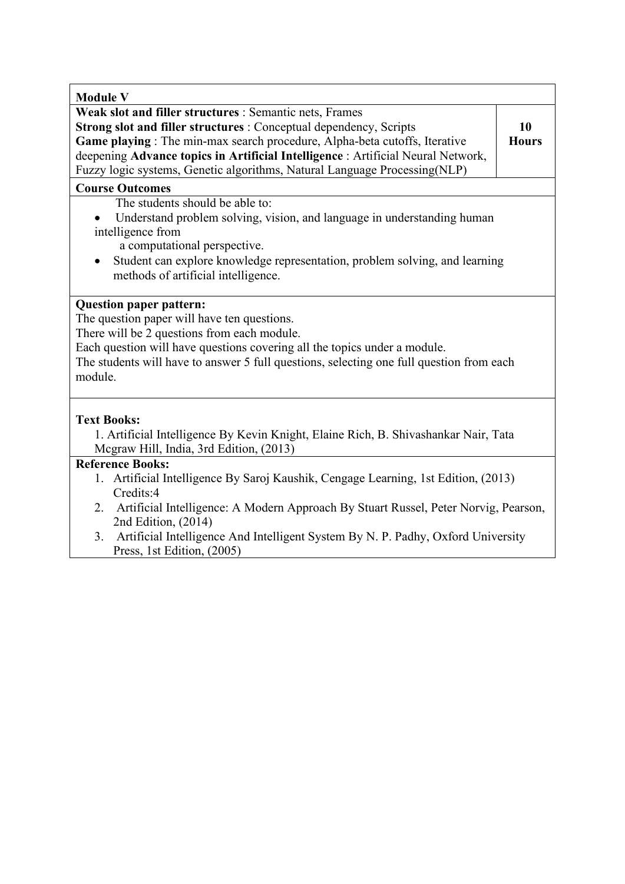| <b>Module V</b>                                                                          |              |  |  |  |
|------------------------------------------------------------------------------------------|--------------|--|--|--|
| Weak slot and filler structures : Semantic nets, Frames                                  |              |  |  |  |
| Strong slot and filler structures : Conceptual dependency, Scripts                       | 10           |  |  |  |
| Game playing : The min-max search procedure, Alpha-beta cutoffs, Iterative               | <b>Hours</b> |  |  |  |
| deepening Advance topics in Artificial Intelligence : Artificial Neural Network,         |              |  |  |  |
| Fuzzy logic systems, Genetic algorithms, Natural Language Processing(NLP)                |              |  |  |  |
| <b>Course Outcomes</b>                                                                   |              |  |  |  |
| The students should be able to:                                                          |              |  |  |  |
| Understand problem solving, vision, and language in understanding human                  |              |  |  |  |
| intelligence from                                                                        |              |  |  |  |
| a computational perspective.                                                             |              |  |  |  |
| Student can explore knowledge representation, problem solving, and learning<br>٠         |              |  |  |  |
| methods of artificial intelligence.                                                      |              |  |  |  |
|                                                                                          |              |  |  |  |
| <b>Question paper pattern:</b>                                                           |              |  |  |  |
| The question paper will have ten questions.                                              |              |  |  |  |
| There will be 2 questions from each module.                                              |              |  |  |  |
| Each question will have questions covering all the topics under a module.                |              |  |  |  |
| The students will have to answer 5 full questions, selecting one full question from each |              |  |  |  |
| module.                                                                                  |              |  |  |  |
|                                                                                          |              |  |  |  |
|                                                                                          |              |  |  |  |
| <b>Text Books:</b>                                                                       |              |  |  |  |
| 1. Artificial Intelligence By Kevin Knight, Elaine Rich, B. Shivashankar Nair, Tata      |              |  |  |  |
| Megraw Hill, India, 3rd Edition, (2013)                                                  |              |  |  |  |
| <b>Reference Books:</b>                                                                  |              |  |  |  |
| 1. Artificial Intelligence By Saroj Kaushik, Cengage Learning, 1st Edition, (2013)       |              |  |  |  |
| Credits:4                                                                                |              |  |  |  |
| 2. Artificial Intelligence: A Modern Approach By Stuart Russel, Peter Norvig, Pearson,   |              |  |  |  |
| 2nd Edition, (2014)                                                                      |              |  |  |  |

3. Artificial Intelligence And Intelligent System By N. P. Padhy, Oxford University Press, 1st Edition, (2005)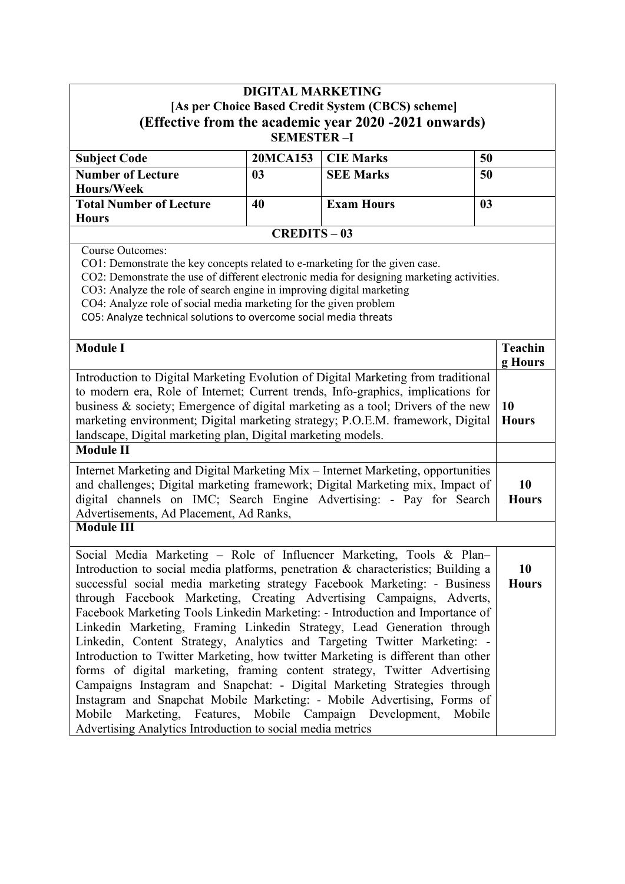|                                                                                                                                                                                                                                                                                                                                                                                                                                                                                                                                                                                                             | <b>DIGITAL MARKETING</b> |                   |                           |  |  |  |
|-------------------------------------------------------------------------------------------------------------------------------------------------------------------------------------------------------------------------------------------------------------------------------------------------------------------------------------------------------------------------------------------------------------------------------------------------------------------------------------------------------------------------------------------------------------------------------------------------------------|--------------------------|-------------------|---------------------------|--|--|--|
| [As per Choice Based Credit System (CBCS) scheme]                                                                                                                                                                                                                                                                                                                                                                                                                                                                                                                                                           |                          |                   |                           |  |  |  |
| (Effective from the academic year 2020 -2021 onwards)<br><b>SEMESTER-I</b>                                                                                                                                                                                                                                                                                                                                                                                                                                                                                                                                  |                          |                   |                           |  |  |  |
| <b>Subject Code</b>                                                                                                                                                                                                                                                                                                                                                                                                                                                                                                                                                                                         | <b>20MCA153</b>          | <b>CIE Marks</b>  | 50                        |  |  |  |
| <b>Number of Lecture</b>                                                                                                                                                                                                                                                                                                                                                                                                                                                                                                                                                                                    | 03                       | <b>SEE Marks</b>  | 50                        |  |  |  |
| Hours/Week                                                                                                                                                                                                                                                                                                                                                                                                                                                                                                                                                                                                  |                          |                   |                           |  |  |  |
| <b>Total Number of Lecture</b><br><b>Hours</b>                                                                                                                                                                                                                                                                                                                                                                                                                                                                                                                                                              | 40                       | <b>Exam Hours</b> | 0 <sub>3</sub>            |  |  |  |
|                                                                                                                                                                                                                                                                                                                                                                                                                                                                                                                                                                                                             | <b>CREDITS-03</b>        |                   |                           |  |  |  |
| <b>Course Outcomes:</b><br>CO1: Demonstrate the key concepts related to e-marketing for the given case.<br>CO2: Demonstrate the use of different electronic media for designing marketing activities.<br>CO3: Analyze the role of search engine in improving digital marketing<br>CO4: Analyze role of social media marketing for the given problem<br>CO5: Analyze technical solutions to overcome social media threats                                                                                                                                                                                    |                          |                   |                           |  |  |  |
| <b>Module I</b>                                                                                                                                                                                                                                                                                                                                                                                                                                                                                                                                                                                             |                          |                   | <b>Teachin</b><br>g Hours |  |  |  |
| Introduction to Digital Marketing Evolution of Digital Marketing from traditional<br>to modern era, Role of Internet; Current trends, Info-graphics, implications for<br>business & society; Emergence of digital marketing as a tool; Drivers of the new<br>marketing environment; Digital marketing strategy; P.O.E.M. framework, Digital<br>landscape, Digital marketing plan, Digital marketing models.                                                                                                                                                                                                 |                          |                   |                           |  |  |  |
| <b>Module II</b>                                                                                                                                                                                                                                                                                                                                                                                                                                                                                                                                                                                            |                          |                   |                           |  |  |  |
| Internet Marketing and Digital Marketing Mix - Internet Marketing, opportunities<br>and challenges; Digital marketing framework; Digital Marketing mix, Impact of<br>digital channels on IMC; Search Engine Advertising: - Pay for Search<br>Advertisements, Ad Placement, Ad Ranks,                                                                                                                                                                                                                                                                                                                        |                          |                   |                           |  |  |  |
| <b>Module III</b>                                                                                                                                                                                                                                                                                                                                                                                                                                                                                                                                                                                           |                          |                   |                           |  |  |  |
| Social Media Marketing – Role of Influencer Marketing, Tools & Plan–<br>Introduction to social media platforms, penetration & characteristics; Building a<br>successful social media marketing strategy Facebook Marketing: - Business<br>through Facebook Marketing, Creating Advertising Campaigns, Adverts,<br>Facebook Marketing Tools Linkedin Marketing: - Introduction and Importance of                                                                                                                                                                                                             |                          |                   |                           |  |  |  |
| Linkedin Marketing, Framing Linkedin Strategy, Lead Generation through<br>Linkedin, Content Strategy, Analytics and Targeting Twitter Marketing: -<br>Introduction to Twitter Marketing, how twitter Marketing is different than other<br>forms of digital marketing, framing content strategy, Twitter Advertising<br>Campaigns Instagram and Snapchat: - Digital Marketing Strategies through<br>Instagram and Snapchat Mobile Marketing: - Mobile Advertising, Forms of<br>Mobile Marketing, Features, Mobile Campaign Development, Mobile<br>Advertising Analytics Introduction to social media metrics |                          |                   |                           |  |  |  |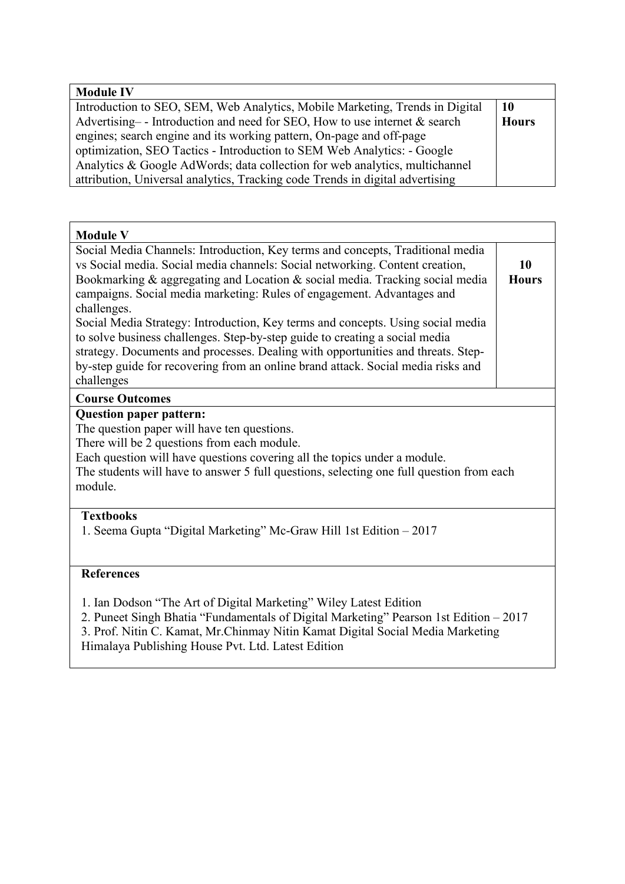| <b>Module IV</b>                                                              |              |
|-------------------------------------------------------------------------------|--------------|
| Introduction to SEO, SEM, Web Analytics, Mobile Marketing, Trends in Digital  | 10           |
| Advertising -- Introduction and need for SEO, How to use internet $\&$ search | <b>Hours</b> |
| engines; search engine and its working pattern, On-page and off-page          |              |
| optimization, SEO Tactics - Introduction to SEM Web Analytics: - Google       |              |
| Analytics & Google AdWords; data collection for web analytics, multichannel   |              |
| attribution, Universal analytics, Tracking code Trends in digital advertising |              |

| <b>Module V</b>                                                                                                                                                                                                                                                                                                                                                                                                                                                                                                                                                                                                                                                                                 |                    |  |  |  |
|-------------------------------------------------------------------------------------------------------------------------------------------------------------------------------------------------------------------------------------------------------------------------------------------------------------------------------------------------------------------------------------------------------------------------------------------------------------------------------------------------------------------------------------------------------------------------------------------------------------------------------------------------------------------------------------------------|--------------------|--|--|--|
| Social Media Channels: Introduction, Key terms and concepts, Traditional media<br>vs Social media. Social media channels: Social networking. Content creation,<br>Bookmarking & aggregating and Location & social media. Tracking social media<br>campaigns. Social media marketing: Rules of engagement. Advantages and<br>challenges.<br>Social Media Strategy: Introduction, Key terms and concepts. Using social media<br>to solve business challenges. Step-by-step guide to creating a social media<br>strategy. Documents and processes. Dealing with opportunities and threats. Step-<br>by-step guide for recovering from an online brand attack. Social media risks and<br>challenges | 10<br><b>Hours</b> |  |  |  |
| <b>Course Outcomes</b>                                                                                                                                                                                                                                                                                                                                                                                                                                                                                                                                                                                                                                                                          |                    |  |  |  |
| <b>Question paper pattern:</b><br>The question paper will have ten questions.<br>There will be 2 questions from each module.<br>Each question will have questions covering all the topics under a module.<br>The students will have to answer 5 full questions, selecting one full question from each<br>module.                                                                                                                                                                                                                                                                                                                                                                                |                    |  |  |  |
| <b>Textbooks</b><br>1. Seema Gupta "Digital Marketing" Mc-Graw Hill 1st Edition – 2017                                                                                                                                                                                                                                                                                                                                                                                                                                                                                                                                                                                                          |                    |  |  |  |
| <b>References</b><br>1. Ian Dodson "The Art of Digital Marketing" Wiley Latest Edition<br>2. Puneet Singh Bhatia "Fundamentals of Digital Marketing" Pearson 1st Edition - 2017<br>3. Prof. Nitin C. Kamat, Mr. Chinmay Nitin Kamat Digital Social Media Marketing<br>Himalaya Publishing House Pvt. Ltd. Latest Edition                                                                                                                                                                                                                                                                                                                                                                        |                    |  |  |  |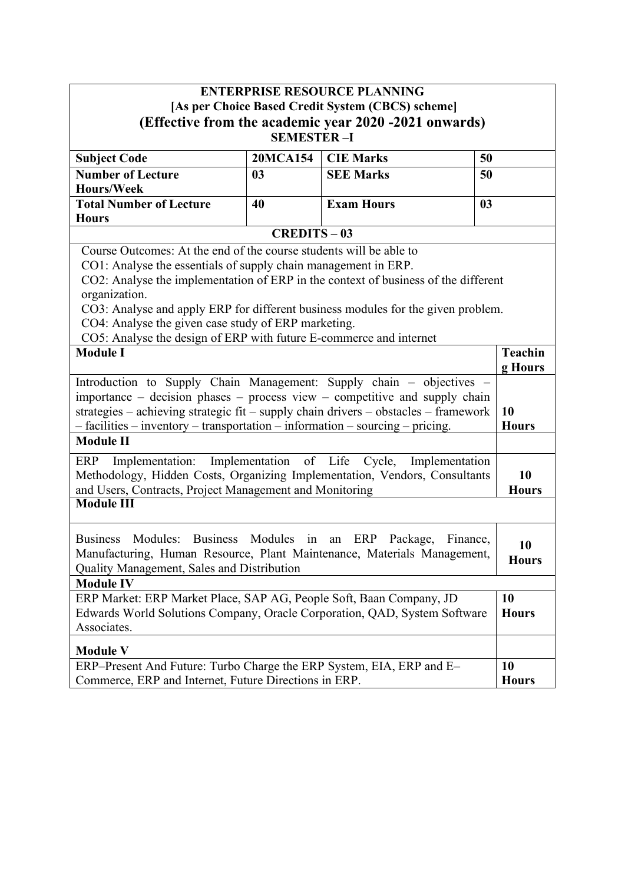|                                                                                                         |                                                                                   | <b>ENTERPRISE RESOURCE PLANNING</b>             |                |  |  |  |
|---------------------------------------------------------------------------------------------------------|-----------------------------------------------------------------------------------|-------------------------------------------------|----------------|--|--|--|
| [As per Choice Based Credit System (CBCS) scheme]                                                       |                                                                                   |                                                 |                |  |  |  |
| (Effective from the academic year 2020 -2021 onwards)                                                   |                                                                                   |                                                 |                |  |  |  |
|                                                                                                         | <b>SEMESTER-I</b>                                                                 |                                                 |                |  |  |  |
| <b>Subject Code</b>                                                                                     | <b>20MCA154</b>                                                                   | <b>CIE Marks</b>                                | 50             |  |  |  |
| <b>Number of Lecture</b>                                                                                | 0 <sub>3</sub>                                                                    | <b>SEE Marks</b>                                | 50             |  |  |  |
| Hours/Week                                                                                              |                                                                                   |                                                 |                |  |  |  |
| <b>Total Number of Lecture</b>                                                                          | 40                                                                                | <b>Exam Hours</b>                               | 0 <sub>3</sub> |  |  |  |
| <b>Hours</b>                                                                                            |                                                                                   |                                                 |                |  |  |  |
|                                                                                                         | <b>CREDITS-03</b>                                                                 |                                                 |                |  |  |  |
| Course Outcomes: At the end of the course students will be able to                                      |                                                                                   |                                                 |                |  |  |  |
| CO1: Analyse the essentials of supply chain management in ERP.                                          |                                                                                   |                                                 |                |  |  |  |
| CO2: Analyse the implementation of ERP in the context of business of the different                      |                                                                                   |                                                 |                |  |  |  |
| organization.                                                                                           |                                                                                   |                                                 |                |  |  |  |
| CO3: Analyse and apply ERP for different business modules for the given problem.                        |                                                                                   |                                                 |                |  |  |  |
| CO4: Analyse the given case study of ERP marketing.                                                     |                                                                                   |                                                 |                |  |  |  |
| CO5: Analyse the design of ERP with future E-commerce and internet<br><b>Module I</b><br><b>Teachin</b> |                                                                                   |                                                 |                |  |  |  |
|                                                                                                         |                                                                                   |                                                 | g Hours        |  |  |  |
| Introduction to Supply Chain Management: Supply chain - objectives -                                    |                                                                                   |                                                 |                |  |  |  |
| importance - decision phases - process view - competitive and supply chain                              |                                                                                   |                                                 |                |  |  |  |
| strategies - achieving strategic fit - supply chain drivers - obstacles - framework<br>10               |                                                                                   |                                                 |                |  |  |  |
| - facilities - inventory - transportation - information - sourcing - pricing.<br><b>Hours</b>           |                                                                                   |                                                 |                |  |  |  |
| <b>Module II</b>                                                                                        |                                                                                   |                                                 |                |  |  |  |
| Implementation:<br>ERP                                                                                  |                                                                                   | Implementation of Life Cycle,<br>Implementation |                |  |  |  |
| Methodology, Hidden Costs, Organizing Implementation, Vendors, Consultants                              |                                                                                   |                                                 |                |  |  |  |
| and Users, Contracts, Project Management and Monitoring                                                 |                                                                                   |                                                 |                |  |  |  |
| <b>Hours</b><br><b>Module III</b>                                                                       |                                                                                   |                                                 |                |  |  |  |
|                                                                                                         |                                                                                   |                                                 |                |  |  |  |
| Business Modules: Business Modules in an                                                                |                                                                                   | ERP Package,<br>Finance,                        |                |  |  |  |
| Manufacturing, Human Resource, Plant Maintenance, Materials Management,                                 |                                                                                   |                                                 | 10             |  |  |  |
| <b>Hours</b><br>Quality Management, Sales and Distribution                                              |                                                                                   |                                                 |                |  |  |  |
| <b>Module IV</b>                                                                                        |                                                                                   |                                                 |                |  |  |  |
| ERP Market: ERP Market Place, SAP AG, People Soft, Baan Company, JD                                     |                                                                                   |                                                 |                |  |  |  |
| Edwards World Solutions Company, Oracle Corporation, QAD, System Software                               |                                                                                   |                                                 |                |  |  |  |
| Associates.                                                                                             |                                                                                   |                                                 |                |  |  |  |
| <b>Module V</b>                                                                                         |                                                                                   |                                                 |                |  |  |  |
|                                                                                                         | ERP-Present And Future: Turbo Charge the ERP System, EIA, ERP and E-<br><b>10</b> |                                                 |                |  |  |  |
| Commerce, ERP and Internet, Future Directions in ERP.                                                   |                                                                                   |                                                 |                |  |  |  |